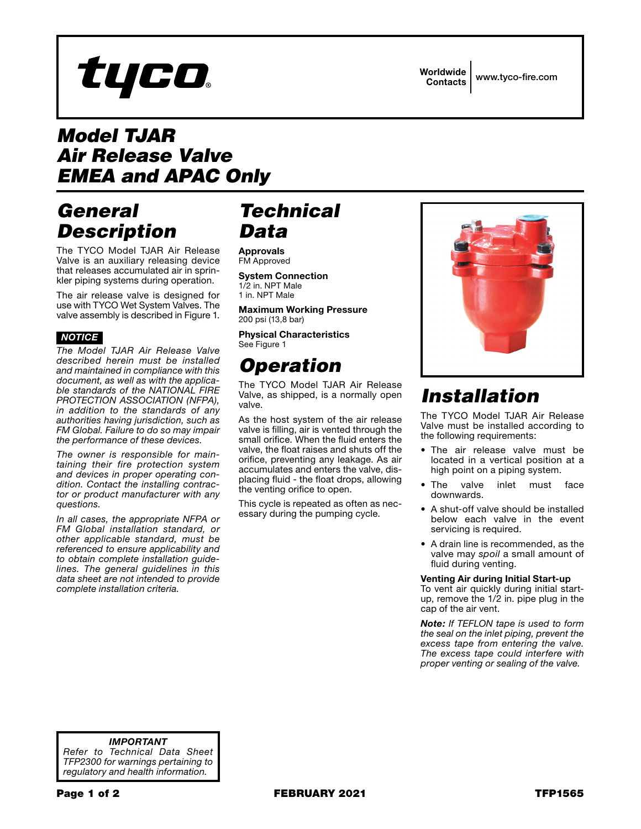# tyco

Worldwide Contacts www.tyco-fire.com

## *Model TJAR Air Release Valve EMEA and APAC Only*

## *General Description*

The TYCO Model TJAR Air Release Valve is an auxiliary releasing device that releases accumulated air in sprinkler piping systems during operation.

The air release valve is designed for use with TYCO Wet System Valves. The valve assembly is described in Figure 1.

## *NOTICE*

*The Model TJAR Air Release Valve described herein must be installed and maintained in compliance with this document, as well as with the applicable standards of the NATIONAL FIRE PROTECTION ASSOCIATION (NFPA), in addition to the standards of any authorities having jurisdiction, such as FM Global. Failure to do so may impair the performance of these devices.*

*The owner is responsible for maintaining their fire protection system and devices in proper operating condition. Contact the installing contractor or product manufacturer with any questions.*

*In all cases, the appropriate NFPA or FM Global installation standard, or other applicable standard, must be referenced to ensure applicability and to obtain complete installation guidelines. The general guidelines in this data sheet are not intended to provide complete installation criteria.*

## *Technical Data*

Approvals FM Approved

System Connection 1/2 in. NPT Male 1 in. NPT Male

Maximum Working Pressure 200 psi (13,8 bar)

Physical Characteristics See Figure 1

# *Operation*

The TYCO Model TJAR Air Release Valve, as shipped, is a normally open valve.

As the host system of the air release valve is filling, air is vented through the small orifice. When the fluid enters the valve, the float raises and shuts off the orifice, preventing any leakage. As air accumulates and enters the valve, displacing fluid - the float drops, allowing the venting orifice to open.

This cycle is repeated as often as necessary during the pumping cycle.



# *Installation*

The TYCO Model TJAR Air Release Valve must be installed according to the following requirements:

- The air release valve must be located in a vertical position at a high point on a piping system.
- The valve inlet must face downwards.
- A shut-off valve should be installed below each valve in the event servicing is required.
- A drain line is recommended, as the valve may *spoil* a small amount of fluid during venting.

#### Venting Air during Initial Start-up

To vent air quickly during initial startup, remove the 1/2 in. pipe plug in the cap of the air vent.

*Note: If TEFLON tape is used to form the seal on the inlet piping, prevent the excess tape from entering the valve. The excess tape could interfere with proper venting or sealing of the valve.*

*IMPORTANT Refer to Technical Data Sheet TFP2300 for warnings pertaining to regulatory and health information.*